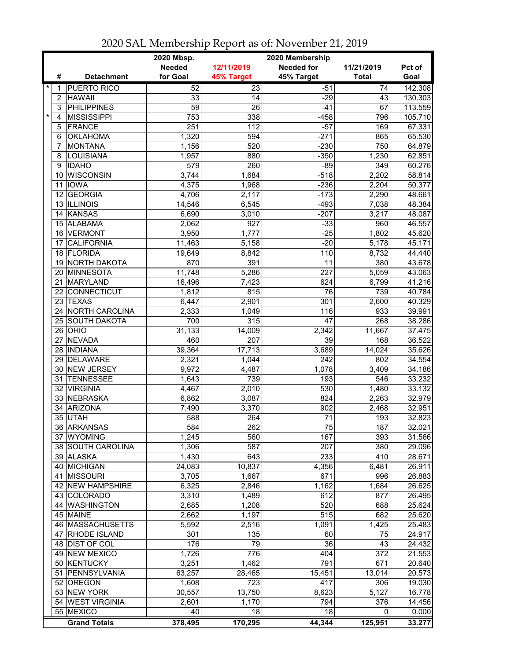|         |                                      | 2020 Mbsp.<br>2020 Membership |                  |                   |                  |               |  |  |
|---------|--------------------------------------|-------------------------------|------------------|-------------------|------------------|---------------|--|--|
|         |                                      | <b>Needed</b>                 | 12/11/2019       | <b>Needed for</b> | 11/21/2019       | <b>Pct of</b> |  |  |
|         | #<br><b>Detachment</b>               | for Goal                      | 45% Target       | 45% Target        | <b>Total</b>     | Goal          |  |  |
| *       | <b>PUERTO RICO</b><br>1              | 52                            | $\overline{23}$  | $-51$             | 74               | 142.308       |  |  |
|         | <b>HAWAII</b><br>2                   | 33                            | 14               | $-29$             | 43               | 130.303       |  |  |
|         | <b>PHILIPPINES</b><br>3              | $\overline{59}$               | $\overline{26}$  | $-41$             | 67               | 113.559       |  |  |
| $\star$ | <b>MISSISSIPPI</b><br>$\overline{4}$ | 753                           | 338              | $-458$            | 796              | 105.710       |  |  |
|         | 5<br><b>FRANCE</b>                   | 251                           | 112              | $-57$             | 169              | 67.331        |  |  |
|         | <b>OKLAHOMA</b><br>6                 | 1,320                         | 594              | $-271$            | 865              | 65.530        |  |  |
|         | <b>MONTANA</b><br>7                  | 1,156                         | 520              | $-230$            | 750              | 64.879        |  |  |
|         | LOUISIANA<br>8                       | 1,957                         | 880              | $-350$            | 1,230            | 62.851        |  |  |
|         | 9<br><b>IDAHO</b>                    | 579                           | 260              | $-89$             | 349              | 60.276        |  |  |
|         | <b>WISCONSIN</b><br>10               | 3,744                         | 1,684            | $-518$            | 2,202            | 58.814        |  |  |
|         | <b>IOWA</b><br>11                    | 4,375                         | 1,968            | $-236$            | 2,204            | 50.377        |  |  |
|         | <b>GEORGIA</b><br>12 <sup>°</sup>    | 4,706                         | 2,117            | $-173$            | 2,290            | 48.661        |  |  |
|         | 13 ILLINOIS                          | 14,546                        | 6,545            | $-493$            | 7,038            | 48.384        |  |  |
|         | 14 KANSAS                            | 6,690                         | 3,010            | $-207$            | 3,217            | 48.087        |  |  |
|         | 15 ALABAMA                           | 2,062                         | 927              | $-33$             | 960              | 46.557        |  |  |
|         | <b>VERMONT</b><br>16                 | 3,950                         | 1,777            | $-25$             | 1,802            | 45.620        |  |  |
|         | <b>CALIFORNIA</b><br>17              | 11,463                        | 5,158            | $-20$             | 5,178            | 45.171        |  |  |
|         | 18 FLORIDA                           | 19,649                        | 8,842            | 110               | 8,732            | 44.440        |  |  |
|         | <b>NORTH DAKOTA</b><br>19            | 870                           | 391              | 11                | 380              | 43.678        |  |  |
|         | MINNESOTA<br>20                      | 11,748                        | 5,286            | 227               | 5,059            | 43.063        |  |  |
|         | MARYLAND<br>21                       | 16,496                        | 7,423            | 624               | 6,799            | 41.216        |  |  |
|         | 22<br>CONNECTICUT                    | 1,812                         | 815              | 76                | 739              | 40.784        |  |  |
|         | 23 TEXAS                             | 6,447                         | 2,901            | 301               | 2,600            | 40.329        |  |  |
|         | <b>NORTH CAROLINA</b><br>24          | 2,333                         | 1,049            | 116               | 933              | 39.991        |  |  |
|         | 25 SOUTH DAKOTA                      | 700                           | 315              | 47                | 268              | 38.286        |  |  |
|         | $26$ OHIO                            | 31,133                        | 14,009           | 2,342             | 11,667           | 37.475        |  |  |
|         | <b>NEVADA</b><br>27                  | 460                           | $\overline{207}$ | 39                | 168              | 36.522        |  |  |
|         | 28   INDIANA                         | 39,364                        | 17,713           | 3,689             | 14,024           | 35.626        |  |  |
|         | 29 DELAWARE                          | 2,321                         | 1,044            | 242               | 802              | 34.554        |  |  |
|         | 30 NEW JERSEY                        | 9,972                         | 4,487            | 1,078             | 3,409            | 34.186        |  |  |
|         | 31 TENNESSEE                         | 1,643                         | 739              | 193               | 546              | 33.232        |  |  |
|         | 32 VIRGINIA                          | 4,467                         | 2,010            | 530               | 1,480            | 33.132        |  |  |
|         | 33 NEBRASKA                          | 6,862                         | 3,087            | 824               | 2,263            | 32.979        |  |  |
|         | 34<br><b>ARIZONA</b>                 | 7,490                         | 3,370            | 902               | 2,468            | 32.951        |  |  |
|         | 35 UTAH                              | 588                           | 264              | 71                | 193              | 32.823        |  |  |
|         | 36 ARKANSAS                          | 584                           | 262              | 75                | 187              | 32.021        |  |  |
|         | 37 WYOMING                           | 1,245                         | 560              | 167               | 393              | 31.566        |  |  |
|         | 38 SOUTH CAROLINA                    | 1,306                         | 587              | 207               | 380              | 29.096        |  |  |
|         | 39 ALASKA                            | 1,430                         | 643              | 233               | 410              | 28.671        |  |  |
|         | 40 MICHIGAN                          | 24,083                        | 10,837           | 4,356             | 6,481            | 26.911        |  |  |
|         | <b>MISSOURI</b><br>41                | 3,705                         | 1,667            | 671               | 996              | 26.883        |  |  |
|         | <b>NEW HAMPSHIRE</b><br>42           | 6,325                         | 2,846            | 1,162             | 1,684            | 26.625        |  |  |
|         | 43 COLORADO                          | 3,310                         | 1,489            | 612               | 877              | 26.495        |  |  |
|         | 44 WASHINGTON                        | 2,685                         | 1,208            | 520               | 688              | 25.624        |  |  |
|         | 45 MAINE                             | 2,662                         | 1,197            | 515               | 682              | 25.620        |  |  |
|         | 46 MASSACHUSETTS                     | 5,592                         | 2,516            | 1,091             | 1,425            | 25.483        |  |  |
|         | 47 RHODE ISLAND                      | 301                           | 135              | 60                | 75               | 24.917        |  |  |
|         | 48 DIST OF COL                       | 176                           | 79               | 36                | 43               | 24.432        |  |  |
|         | 49 NEW MEXICO                        | 1,726                         | 776              | 404               | $\overline{372}$ | 21.553        |  |  |
|         | 50 KENTUCKY                          | 3,251                         | 1,462            | 791               | 671              | 20.640        |  |  |
|         | 51 PENNSYLVANIA                      | 63,257                        | 28,465           | 15,451            | 13,014           | 20.573        |  |  |
|         | 52 OREGON                            | 1,608                         | 723              | 417               | 306              | 19.030        |  |  |
|         | 53 NEW YORK                          | 30,557                        | 13,750           | 8,623             | 5,127            | 16.778        |  |  |
|         | 54 WEST VIRGINIA                     | 2,601                         | 1,170            | 794               | 376              | 14.456        |  |  |
|         | 55 MEXICO                            | 40                            | 18               | 18                | 0                | 0.000         |  |  |
|         | <b>Grand Totals</b>                  | 378,495                       | 170,295          | 44,344            | 125,951          | 33.277        |  |  |

2020 SAL Membership Report as of: November 21, 2019